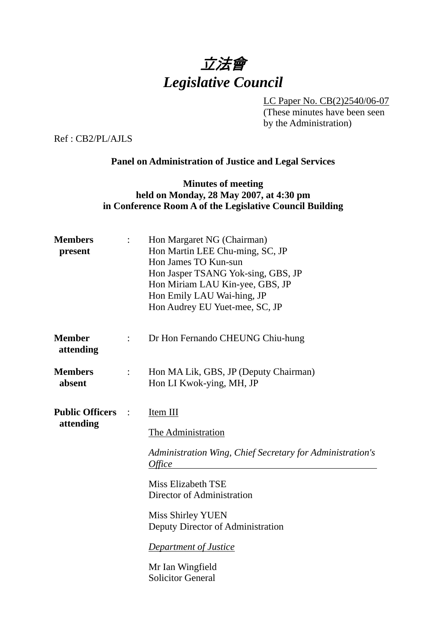# 立法會 *Legislative Council*

LC Paper No. CB(2)2540/06-07

(These minutes have been seen by the Administration)

Ref : CB2/PL/AJLS

# **Panel on Administration of Justice and Legal Services**

## **Minutes of meeting held on Monday, 28 May 2007, at 4:30 pm in Conference Room A of the Legislative Council Building**

| $\ddot{\cdot}$           | Hon Margaret NG (Chairman)<br>Hon Martin LEE Chu-ming, SC, JP<br>Hon James TO Kun-sun<br>Hon Jasper TSANG Yok-sing, GBS, JP<br>Hon Miriam LAU Kin-yee, GBS, JP<br>Hon Emily LAU Wai-hing, JP<br>Hon Audrey EU Yuet-mee, SC, JP                                                                                           |
|--------------------------|--------------------------------------------------------------------------------------------------------------------------------------------------------------------------------------------------------------------------------------------------------------------------------------------------------------------------|
| $\ddot{\cdot}$           | Dr Hon Fernando CHEUNG Chiu-hung                                                                                                                                                                                                                                                                                         |
| $\ddot{\cdot}$           | Hon MA Lik, GBS, JP (Deputy Chairman)<br>Hon LI Kwok-ying, MH, JP                                                                                                                                                                                                                                                        |
| <b>Public Officers :</b> | Item III<br>The Administration<br>Administration Wing, Chief Secretary for Administration's<br><i>Office</i><br><b>Miss Elizabeth TSE</b><br>Director of Administration<br><b>Miss Shirley YUEN</b><br>Deputy Director of Administration<br><b>Department of Justice</b><br>Mr Ian Wingfield<br><b>Solicitor General</b> |
|                          |                                                                                                                                                                                                                                                                                                                          |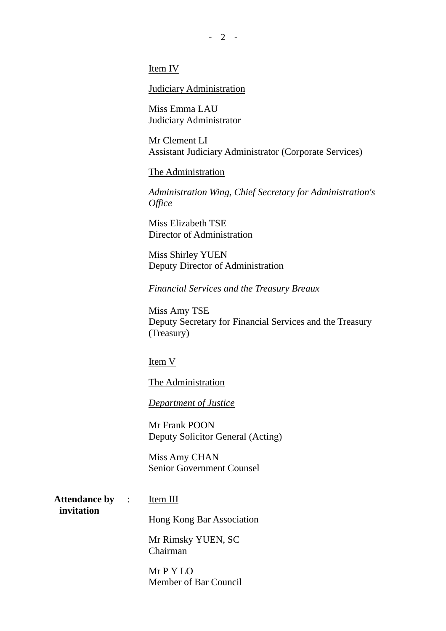$- 2 -$ 

#### Item IV

#### Judiciary Administration

Miss Emma LAU Judiciary Administrator

Mr Clement LI Assistant Judiciary Administrator (Corporate Services)

The Administration

*Administration Wing, Chief Secretary for Administration's Office* 

Miss Elizabeth TSE Director of Administration

Miss Shirley YUEN Deputy Director of Administration

*Financial Services and the Treasury Breaux*

Miss Amy TSE Deputy Secretary for Financial Services and the Treasury (Treasury)

Item V

The Administration

*Department of Justice*

Mr Frank POON Deputy Solicitor General (Acting)

Miss Amy CHAN Senior Government Counsel

**Attendance by invitation**  Item III

Hong Kong Bar Association

Mr Rimsky YUEN, SC Chairman

Mr P Y LO Member of Bar Council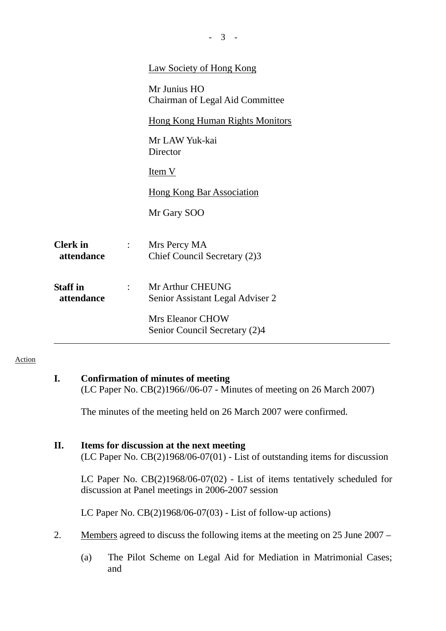|                               |                | <b>Law Society of Hong Kong</b>                      |
|-------------------------------|----------------|------------------------------------------------------|
|                               |                | Mr Junius HO<br>Chairman of Legal Aid Committee      |
|                               |                | <b>Hong Kong Human Rights Monitors</b>               |
|                               |                | Mr LAW Yuk-kai<br>Director                           |
|                               |                | Item V                                               |
|                               |                | <b>Hong Kong Bar Association</b>                     |
|                               |                | Mr Gary SOO                                          |
| <b>Clerk</b> in<br>attendance | $\ddot{\cdot}$ | Mrs Percy MA<br>Chief Council Secretary (2)3         |
| <b>Staff</b> in<br>attendance |                | Mr Arthur CHEUNG<br>Senior Assistant Legal Adviser 2 |
|                               |                | <b>Mrs Eleanor CHOW</b>                              |
|                               |                | Senior Council Secretary (2)4                        |

- 3 -

#### Action

| ı. | Confirmation of minutes of meeting                                            |
|----|-------------------------------------------------------------------------------|
|    | (LC Paper No. $CB(2)1966/\sqrt{06-07}$ - Minutes of meeting on 26 March 2007) |

The minutes of the meeting held on 26 March 2007 were confirmed.

# **II. Items for discussion at the next meeting**

(LC Paper No. CB(2)1968/06-07(01) - List of outstanding items for discussion

LC Paper No. CB(2)1968/06-07(02) - List of items tentatively scheduled for discussion at Panel meetings in 2006-2007 session

LC Paper No. CB(2)1968/06-07(03) - List of follow-up actions)

- 2. Members agreed to discuss the following items at the meeting on 25 June 2007
	- (a) The Pilot Scheme on Legal Aid for Mediation in Matrimonial Cases; and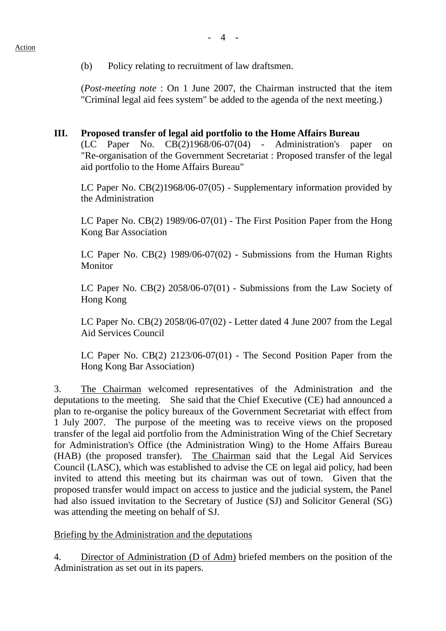(b) Policy relating to recruitment of law draftsmen.

(*Post-meeting note* : On 1 June 2007, the Chairman instructed that the item "Criminal legal aid fees system" be added to the agenda of the next meeting.)

### **III. Proposed transfer of legal aid portfolio to the Home Affairs Bureau**

(LC Paper No. CB(2)1968/06-07(04) - Administration's paper on "Re-organisation of the Government Secretariat : Proposed transfer of the legal aid portfolio to the Home Affairs Bureau"

LC Paper No. CB(2)1968/06-07(05) - Supplementary information provided by the Administration

LC Paper No. CB(2) 1989/06-07(01) - The First Position Paper from the Hong Kong Bar Association

LC Paper No. CB(2) 1989/06-07(02) - Submissions from the Human Rights Monitor

LC Paper No. CB(2) 2058/06-07(01) - Submissions from the Law Society of Hong Kong

LC Paper No. CB(2) 2058/06-07(02) - Letter dated 4 June 2007 from the Legal Aid Services Council

LC Paper No. CB(2) 2123/06-07(01) - The Second Position Paper from the Hong Kong Bar Association)

3. The Chairman welcomed representatives of the Administration and the deputations to the meeting. She said that the Chief Executive (CE) had announced a plan to re-organise the policy bureaux of the Government Secretariat with effect from 1 July 2007. The purpose of the meeting was to receive views on the proposed transfer of the legal aid portfolio from the Administration Wing of the Chief Secretary for Administration's Office (the Administration Wing) to the Home Affairs Bureau (HAB) (the proposed transfer). The Chairman said that the Legal Aid Services Council (LASC), which was established to advise the CE on legal aid policy, had been invited to attend this meeting but its chairman was out of town. Given that the proposed transfer would impact on access to justice and the judicial system, the Panel had also issued invitation to the Secretary of Justice (SJ) and Solicitor General (SG) was attending the meeting on behalf of SJ.

Briefing by the Administration and the deputations

4. Director of Administration (D of Adm) briefed members on the position of the Administration as set out in its papers.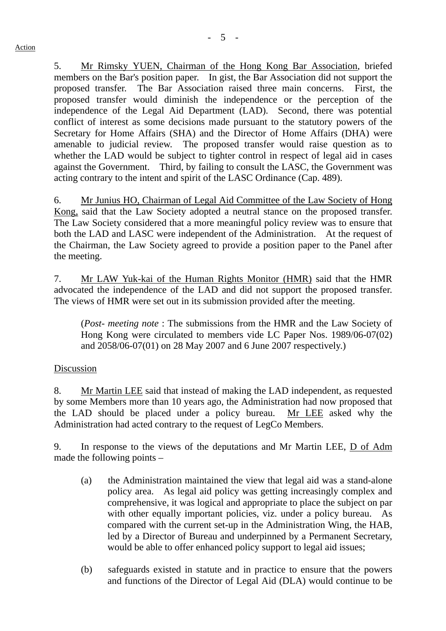5. Mr Rimsky YUEN, Chairman of the Hong Kong Bar Association, briefed members on the Bar's position paper. In gist, the Bar Association did not support the proposed transfer. The Bar Association raised three main concerns. First, the proposed transfer would diminish the independence or the perception of the independence of the Legal Aid Department (LAD). Second, there was potential conflict of interest as some decisions made pursuant to the statutory powers of the Secretary for Home Affairs (SHA) and the Director of Home Affairs (DHA) were amenable to judicial review. The proposed transfer would raise question as to whether the LAD would be subject to tighter control in respect of legal aid in cases against the Government. Third, by failing to consult the LASC, the Government was acting contrary to the intent and spirit of the LASC Ordinance (Cap. 489).

6. Mr Junius HO, Chairman of Legal Aid Committee of the Law Society of Hong Kong, said that the Law Society adopted a neutral stance on the proposed transfer. The Law Society considered that a more meaningful policy review was to ensure that both the LAD and LASC were independent of the Administration. At the request of the Chairman, the Law Society agreed to provide a position paper to the Panel after the meeting.

7. Mr LAW Yuk-kai of the Human Rights Monitor (HMR) said that the HMR advocated the independence of the LAD and did not support the proposed transfer. The views of HMR were set out in its submission provided after the meeting.

 (*Post- meeting note* : The submissions from the HMR and the Law Society of Hong Kong were circulated to members vide LC Paper Nos. 1989/06-07(02) and 2058/06-07(01) on 28 May 2007 and 6 June 2007 respectively.)

## Discussion

8. Mr Martin LEE said that instead of making the LAD independent, as requested by some Members more than 10 years ago, the Administration had now proposed that the LAD should be placed under a policy bureau. Mr LEE asked why the Administration had acted contrary to the request of LegCo Members.

9. In response to the views of the deputations and Mr Martin LEE, D of Adm made the following points –

- (a) the Administration maintained the view that legal aid was a stand-alone policy area. As legal aid policy was getting increasingly complex and comprehensive, it was logical and appropriate to place the subject on par with other equally important policies, viz. under a policy bureau. As compared with the current set-up in the Administration Wing, the HAB, led by a Director of Bureau and underpinned by a Permanent Secretary, would be able to offer enhanced policy support to legal aid issues;
- (b) safeguards existed in statute and in practice to ensure that the powers and functions of the Director of Legal Aid (DLA) would continue to be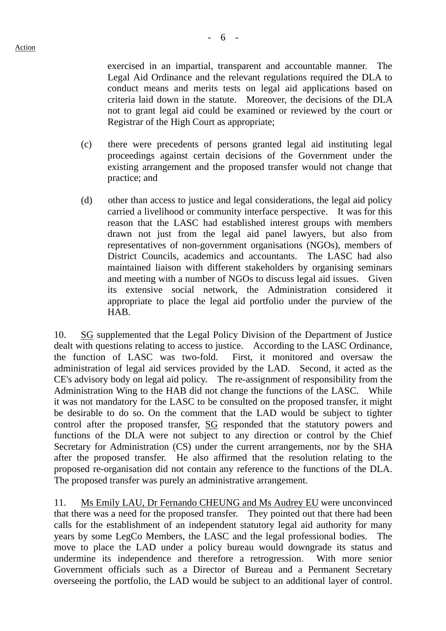exercised in an impartial, transparent and accountable manner. The Legal Aid Ordinance and the relevant regulations required the DLA to conduct means and merits tests on legal aid applications based on criteria laid down in the statute. Moreover, the decisions of the DLA not to grant legal aid could be examined or reviewed by the court or Registrar of the High Court as appropriate;

- (c) there were precedents of persons granted legal aid instituting legal proceedings against certain decisions of the Government under the existing arrangement and the proposed transfer would not change that practice; and
- (d) other than access to justice and legal considerations, the legal aid policy carried a livelihood or community interface perspective. It was for this reason that the LASC had established interest groups with members drawn not just from the legal aid panel lawyers, but also from representatives of non-government organisations (NGOs), members of District Councils, academics and accountants. The LASC had also maintained liaison with different stakeholders by organising seminars and meeting with a number of NGOs to discuss legal aid issues. Given its extensive social network, the Administration considered it appropriate to place the legal aid portfolio under the purview of the HAB.

10. SG supplemented that the Legal Policy Division of the Department of Justice dealt with questions relating to access to justice. According to the LASC Ordinance, the function of LASC was two-fold. First, it monitored and oversaw the administration of legal aid services provided by the LAD. Second, it acted as the CE's advisory body on legal aid policy. The re-assignment of responsibility from the Administration Wing to the HAB did not change the functions of the LASC. While it was not mandatory for the LASC to be consulted on the proposed transfer, it might be desirable to do so. On the comment that the LAD would be subject to tighter control after the proposed transfer, SG responded that the statutory powers and functions of the DLA were not subject to any direction or control by the Chief Secretary for Administration (CS) under the current arrangements, nor by the SHA after the proposed transfer. He also affirmed that the resolution relating to the proposed re-organisation did not contain any reference to the functions of the DLA. The proposed transfer was purely an administrative arrangement.

11. Ms Emily LAU, Dr Fernando CHEUNG and Ms Audrey EU were unconvinced that there was a need for the proposed transfer. They pointed out that there had been calls for the establishment of an independent statutory legal aid authority for many years by some LegCo Members, the LASC and the legal professional bodies. The move to place the LAD under a policy bureau would downgrade its status and undermine its independence and therefore a retrogression. With more senior Government officials such as a Director of Bureau and a Permanent Secretary overseeing the portfolio, the LAD would be subject to an additional layer of control.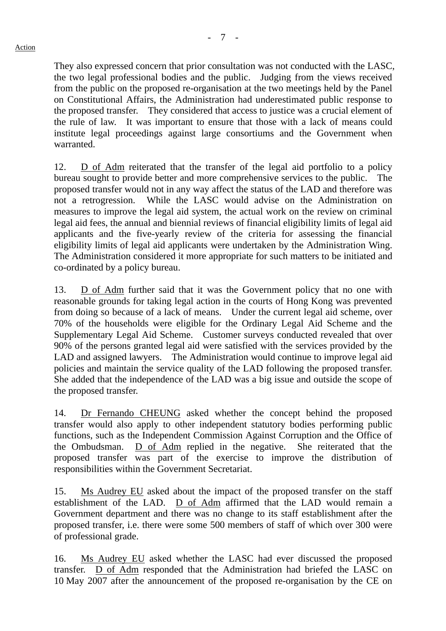They also expressed concern that prior consultation was not conducted with the LASC, the two legal professional bodies and the public. Judging from the views received from the public on the proposed re-organisation at the two meetings held by the Panel on Constitutional Affairs, the Administration had underestimated public response to the proposed transfer. They considered that access to justice was a crucial element of the rule of law. It was important to ensure that those with a lack of means could institute legal proceedings against large consortiums and the Government when warranted.

12. D of Adm reiterated that the transfer of the legal aid portfolio to a policy bureau sought to provide better and more comprehensive services to the public. The proposed transfer would not in any way affect the status of the LAD and therefore was not a retrogression. While the LASC would advise on the Administration on measures to improve the legal aid system, the actual work on the review on criminal legal aid fees, the annual and biennial reviews of financial eligibility limits of legal aid applicants and the five-yearly review of the criteria for assessing the financial eligibility limits of legal aid applicants were undertaken by the Administration Wing. The Administration considered it more appropriate for such matters to be initiated and co-ordinated by a policy bureau.

13. D of Adm further said that it was the Government policy that no one with reasonable grounds for taking legal action in the courts of Hong Kong was prevented from doing so because of a lack of means. Under the current legal aid scheme, over 70% of the households were eligible for the Ordinary Legal Aid Scheme and the Supplementary Legal Aid Scheme. Customer surveys conducted revealed that over 90% of the persons granted legal aid were satisfied with the services provided by the LAD and assigned lawyers. The Administration would continue to improve legal aid policies and maintain the service quality of the LAD following the proposed transfer. She added that the independence of the LAD was a big issue and outside the scope of the proposed transfer.

14. Dr Fernando CHEUNG asked whether the concept behind the proposed transfer would also apply to other independent statutory bodies performing public functions, such as the Independent Commission Against Corruption and the Office of the Ombudsman. D of Adm replied in the negative. She reiterated that the proposed transfer was part of the exercise to improve the distribution of responsibilities within the Government Secretariat.

15. Ms Audrey EU asked about the impact of the proposed transfer on the staff establishment of the LAD. D of Adm affirmed that the LAD would remain a Government department and there was no change to its staff establishment after the proposed transfer, i.e. there were some 500 members of staff of which over 300 were of professional grade.

16. Ms Audrey EU asked whether the LASC had ever discussed the proposed transfer. D of Adm responded that the Administration had briefed the LASC on 10 May 2007 after the announcement of the proposed re-organisation by the CE on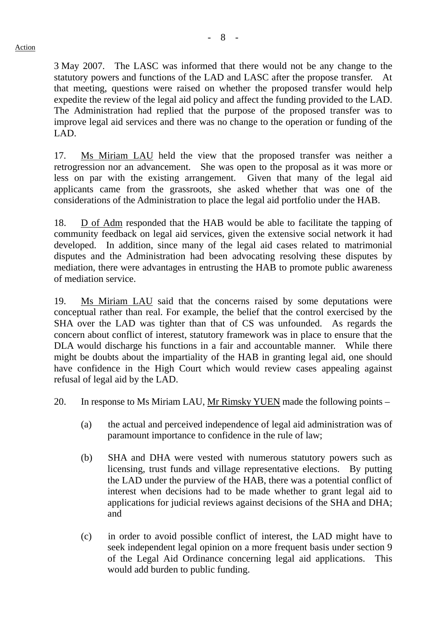3 May 2007. The LASC was informed that there would not be any change to the statutory powers and functions of the LAD and LASC after the propose transfer. At that meeting, questions were raised on whether the proposed transfer would help expedite the review of the legal aid policy and affect the funding provided to the LAD. The Administration had replied that the purpose of the proposed transfer was to improve legal aid services and there was no change to the operation or funding of the LAD.

17. Ms Miriam LAU held the view that the proposed transfer was neither a retrogression nor an advancement. She was open to the proposal as it was more or less on par with the existing arrangement. Given that many of the legal aid applicants came from the grassroots, she asked whether that was one of the considerations of the Administration to place the legal aid portfolio under the HAB.

18. D of Adm responded that the HAB would be able to facilitate the tapping of community feedback on legal aid services, given the extensive social network it had developed. In addition, since many of the legal aid cases related to matrimonial disputes and the Administration had been advocating resolving these disputes by mediation, there were advantages in entrusting the HAB to promote public awareness of mediation service.

19. Ms Miriam LAU said that the concerns raised by some deputations were conceptual rather than real. For example, the belief that the control exercised by the SHA over the LAD was tighter than that of CS was unfounded. As regards the concern about conflict of interest, statutory framework was in place to ensure that the DLA would discharge his functions in a fair and accountable manner. While there might be doubts about the impartiality of the HAB in granting legal aid, one should have confidence in the High Court which would review cases appealing against refusal of legal aid by the LAD.

20. In response to Ms Miriam LAU, Mr Rimsky YUEN made the following points –

- (a) the actual and perceived independence of legal aid administration was of paramount importance to confidence in the rule of law;
- (b) SHA and DHA were vested with numerous statutory powers such as licensing, trust funds and village representative elections. By putting the LAD under the purview of the HAB, there was a potential conflict of interest when decisions had to be made whether to grant legal aid to applications for judicial reviews against decisions of the SHA and DHA; and
- (c) in order to avoid possible conflict of interest, the LAD might have to seek independent legal opinion on a more frequent basis under section 9 of the Legal Aid Ordinance concerning legal aid applications. This would add burden to public funding.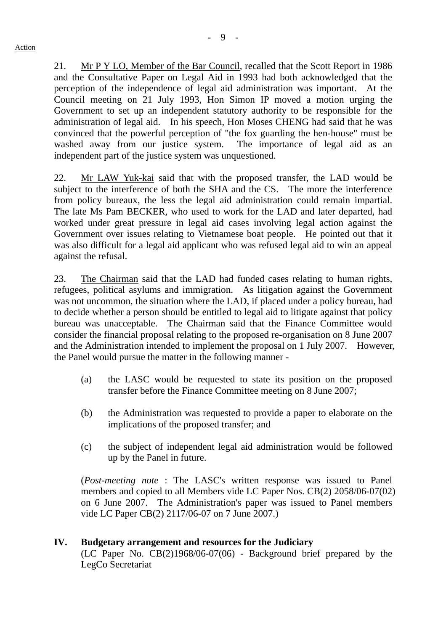21. Mr P Y LO, Member of the Bar Council, recalled that the Scott Report in 1986 and the Consultative Paper on Legal Aid in 1993 had both acknowledged that the perception of the independence of legal aid administration was important. At the Council meeting on 21 July 1993, Hon Simon IP moved a motion urging the Government to set up an independent statutory authority to be responsible for the administration of legal aid. In his speech, Hon Moses CHENG had said that he was convinced that the powerful perception of "the fox guarding the hen-house" must be washed away from our justice system. The importance of legal aid as an independent part of the justice system was unquestioned.

22. Mr LAW Yuk-kai said that with the proposed transfer, the LAD would be subject to the interference of both the SHA and the CS. The more the interference from policy bureaux, the less the legal aid administration could remain impartial. The late Ms Pam BECKER, who used to work for the LAD and later departed, had worked under great pressure in legal aid cases involving legal action against the Government over issues relating to Vietnamese boat people. He pointed out that it was also difficult for a legal aid applicant who was refused legal aid to win an appeal against the refusal.

23. The Chairman said that the LAD had funded cases relating to human rights, refugees, political asylums and immigration. As litigation against the Government was not uncommon, the situation where the LAD, if placed under a policy bureau, had to decide whether a person should be entitled to legal aid to litigate against that policy bureau was unacceptable. The Chairman said that the Finance Committee would consider the financial proposal relating to the proposed re-organisation on 8 June 2007 and the Administration intended to implement the proposal on 1 July 2007. However, the Panel would pursue the matter in the following manner -

- (a) the LASC would be requested to state its position on the proposed transfer before the Finance Committee meeting on 8 June 2007;
- (b) the Administration was requested to provide a paper to elaborate on the implications of the proposed transfer; and
- (c) the subject of independent legal aid administration would be followed up by the Panel in future.

 (*Post-meeting note* : The LASC's written response was issued to Panel members and copied to all Members vide LC Paper Nos. CB(2) 2058/06-07(02) on 6 June 2007. The Administration's paper was issued to Panel members vide LC Paper CB(2) 2117/06-07 on 7 June 2007.)

# **IV. Budgetary arrangement and resources for the Judiciary**

(LC Paper No. CB(2)1968/06-07(06) - Background brief prepared by the LegCo Secretariat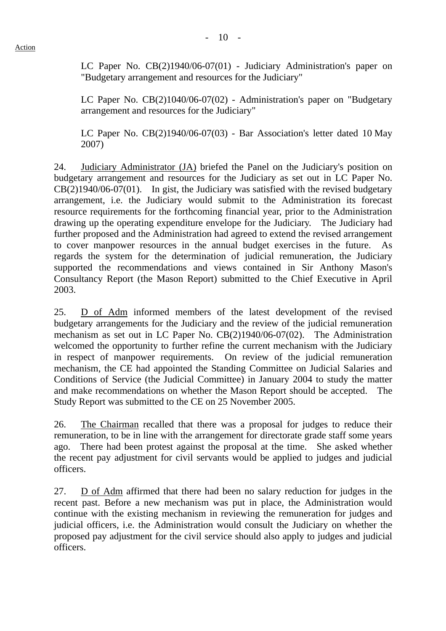LC Paper No. CB(2)1940/06-07(01) - Judiciary Administration's paper on "Budgetary arrangement and resources for the Judiciary"

LC Paper No. CB(2)1040/06-07(02) - Administration's paper on "Budgetary arrangement and resources for the Judiciary"

LC Paper No. CB(2)1940/06-07(03) - Bar Association's letter dated 10 May 2007)

24. Judiciary Administrator (JA) briefed the Panel on the Judiciary's position on budgetary arrangement and resources for the Judiciary as set out in LC Paper No. CB(2)1940/06-07(01). In gist, the Judiciary was satisfied with the revised budgetary arrangement, i.e. the Judiciary would submit to the Administration its forecast resource requirements for the forthcoming financial year, prior to the Administration drawing up the operating expenditure envelope for the Judiciary. The Judiciary had further proposed and the Administration had agreed to extend the revised arrangement to cover manpower resources in the annual budget exercises in the future. As regards the system for the determination of judicial remuneration, the Judiciary supported the recommendations and views contained in Sir Anthony Mason's Consultancy Report (the Mason Report) submitted to the Chief Executive in April 2003.

25. D of Adm informed members of the latest development of the revised budgetary arrangements for the Judiciary and the review of the judicial remuneration mechanism as set out in LC Paper No. CB(2)1940/06-07(02). The Administration welcomed the opportunity to further refine the current mechanism with the Judiciary in respect of manpower requirements. On review of the judicial remuneration mechanism, the CE had appointed the Standing Committee on Judicial Salaries and Conditions of Service (the Judicial Committee) in January 2004 to study the matter and make recommendations on whether the Mason Report should be accepted. The Study Report was submitted to the CE on 25 November 2005.

26. The Chairman recalled that there was a proposal for judges to reduce their remuneration, to be in line with the arrangement for directorate grade staff some years ago. There had been protest against the proposal at the time. She asked whether the recent pay adjustment for civil servants would be applied to judges and judicial officers.

27. D of Adm affirmed that there had been no salary reduction for judges in the recent past. Before a new mechanism was put in place, the Administration would continue with the existing mechanism in reviewing the remuneration for judges and judicial officers, i.e. the Administration would consult the Judiciary on whether the proposed pay adjustment for the civil service should also apply to judges and judicial officers.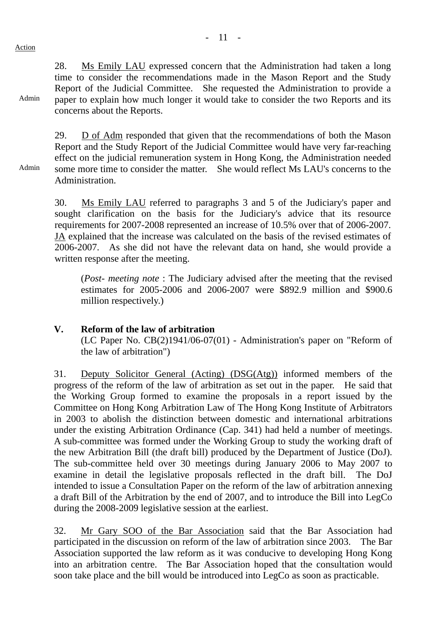Admin

Admin

28. Ms Emily LAU expressed concern that the Administration had taken a long time to consider the recommendations made in the Mason Report and the Study Report of the Judicial Committee. She requested the Administration to provide a paper to explain how much longer it would take to consider the two Reports and its concerns about the Reports.

29. D of Adm responded that given that the recommendations of both the Mason Report and the Study Report of the Judicial Committee would have very far-reaching effect on the judicial remuneration system in Hong Kong, the Administration needed some more time to consider the matter. She would reflect Ms LAU's concerns to the Administration.

30. Ms Emily LAU referred to paragraphs 3 and 5 of the Judiciary's paper and sought clarification on the basis for the Judiciary's advice that its resource requirements for 2007-2008 represented an increase of 10.5% over that of 2006-2007. JA explained that the increase was calculated on the basis of the revised estimates of 2006-2007. As she did not have the relevant data on hand, she would provide a written response after the meeting.

 (*Post- meeting note* : The Judiciary advised after the meeting that the revised estimates for 2005-2006 and 2006-2007 were \$892.9 million and \$900.6 million respectively.)

## **V. Reform of the law of arbitration**

(LC Paper No. CB(2)1941/06-07(01) - Administration's paper on "Reform of the law of arbitration")

31. Deputy Solicitor General (Acting) (DSG(Atg)) informed members of the progress of the reform of the law of arbitration as set out in the paper. He said that the Working Group formed to examine the proposals in a report issued by the Committee on Hong Kong Arbitration Law of The Hong Kong Institute of Arbitrators in 2003 to abolish the distinction between domestic and international arbitrations under the existing Arbitration Ordinance (Cap. 341) had held a number of meetings. A sub-committee was formed under the Working Group to study the working draft of the new Arbitration Bill (the draft bill) produced by the Department of Justice (DoJ). The sub-committee held over 30 meetings during January 2006 to May 2007 to examine in detail the legislative proposals reflected in the draft bill. The DoJ intended to issue a Consultation Paper on the reform of the law of arbitration annexing a draft Bill of the Arbitration by the end of 2007, and to introduce the Bill into LegCo during the 2008-2009 legislative session at the earliest.

32. Mr Gary SOO of the Bar Association said that the Bar Association had participated in the discussion on reform of the law of arbitration since 2003. The Bar Association supported the law reform as it was conducive to developing Hong Kong into an arbitration centre. The Bar Association hoped that the consultation would soon take place and the bill would be introduced into LegCo as soon as practicable.